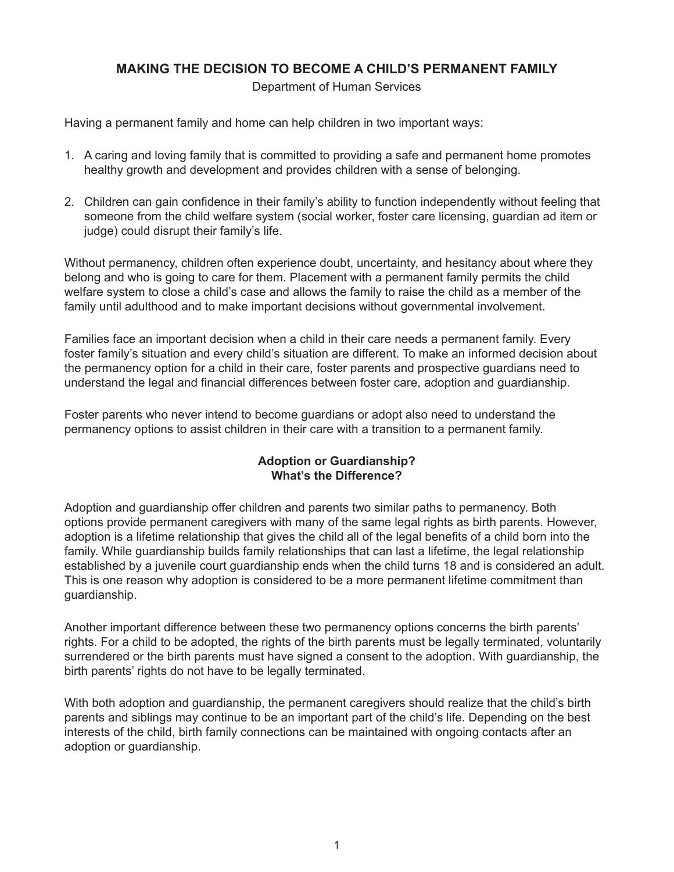# **MAKING THE DECISION TO BECOME A CHILD'S PERMANENT FAMILY**

Department of Human Services

Having a permanent family and home can help children in two important ways:

- 1. A caring and loving family that is committed to providing a safe and permanent home promotes healthy growth and development and provides children with a sense of belonging.
- 2. Children can gain confidence in their family's ability to function independently without feeling that someone from the child welfare system (social worker, foster care licensing, guardian ad item or judge) could disrupt their family's life.

Without permanency, children often experience doubt, uncertainty, and hesitancy about where they belong and who is going to care for them. Placement with a permanent family permits the child welfare system to close a child's case and allows the family to raise the child as a member of the family until adulthood and to make important decisions without governmental involvement.

Families face an important decision when a child in their care needs a permanent family. Every foster family's situation and every child's situation are different. To make an informed decision about the permanency option for a child in their care, foster parents and prospective guardians need to understand the legal and financial differences between foster care, adoption and guardianship.

Foster parents who never intend to become guardians or adopt also need to understand the permanency options to assist children in their care with a transition to a permanent family.

### **Adoption or Guardianship? What's the Difference?**

Adoption and guardianship offer children and parents two similar paths to permanency. Both options provide permanent caregivers with many of the same legal rights as birth parents. However, adoption is a lifetime relationship that gives the child all of the legal benefits of a child born into the family. While guardianship builds family relationships that can last a lifetime, the legal relationship established by a juvenile court guardianship ends when the child turns 18 and is considered an adult. This is one reason why adoption is considered to be a more permanent lifetime commitment than guardianship.

Another important difference between these two permanency options concerns the birth parents' rights. For a child to be adopted, the rights of the birth parents must be legally terminated, voluntarily surrendered or the birth parents must have signed a consent to the adoption. With guardianship, the birth parents' rights do not have to be legally terminated.

With both adoption and guardianship, the permanent caregivers should realize that the child's birth parents and siblings may continue to be an important part of the child's life. Depending on the best interests of the child, birth family connections can be maintained with ongoing contacts after an adoption or guardianship.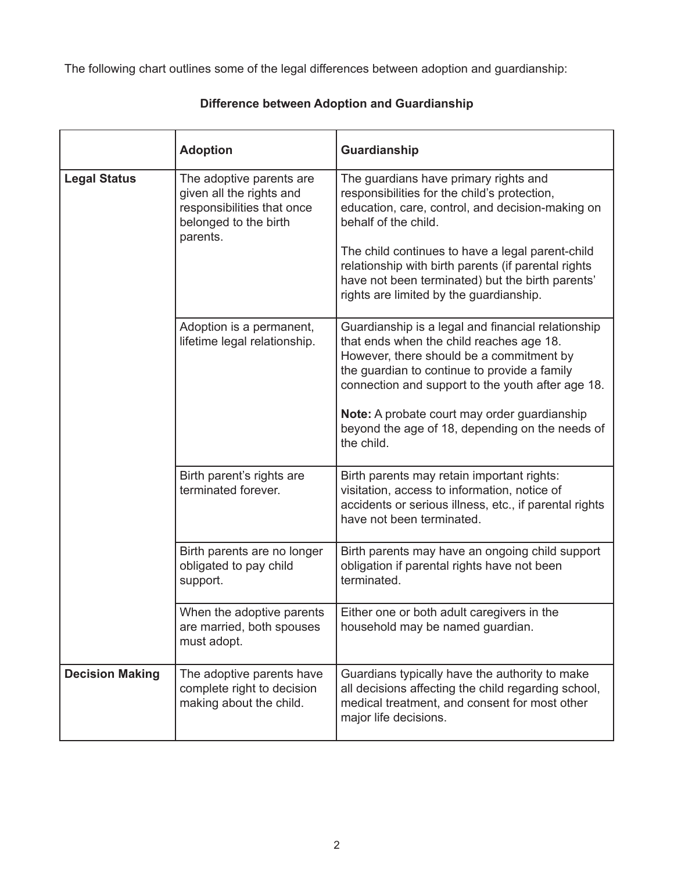The following chart outlines some of the legal differences between adoption and guardianship:

|                        | <b>Adoption</b>                                                                                                         | Guardianship                                                                                                                                                                                                                                                                                                                                                                |
|------------------------|-------------------------------------------------------------------------------------------------------------------------|-----------------------------------------------------------------------------------------------------------------------------------------------------------------------------------------------------------------------------------------------------------------------------------------------------------------------------------------------------------------------------|
| <b>Legal Status</b>    | The adoptive parents are<br>given all the rights and<br>responsibilities that once<br>belonged to the birth<br>parents. | The guardians have primary rights and<br>responsibilities for the child's protection,<br>education, care, control, and decision-making on<br>behalf of the child.<br>The child continues to have a legal parent-child<br>relationship with birth parents (if parental rights<br>have not been terminated) but the birth parents'<br>rights are limited by the guardianship. |
|                        | Adoption is a permanent,<br>lifetime legal relationship.                                                                | Guardianship is a legal and financial relationship<br>that ends when the child reaches age 18.<br>However, there should be a commitment by<br>the guardian to continue to provide a family<br>connection and support to the youth after age 18.<br>Note: A probate court may order guardianship<br>beyond the age of 18, depending on the needs of<br>the child.            |
|                        | Birth parent's rights are<br>terminated forever.                                                                        | Birth parents may retain important rights:<br>visitation, access to information, notice of<br>accidents or serious illness, etc., if parental rights<br>have not been terminated.                                                                                                                                                                                           |
|                        | Birth parents are no longer<br>obligated to pay child<br>support.                                                       | Birth parents may have an ongoing child support<br>obligation if parental rights have not been<br>terminated.                                                                                                                                                                                                                                                               |
|                        | When the adoptive parents<br>are married, both spouses<br>must adopt.                                                   | Either one or both adult caregivers in the<br>household may be named guardian.                                                                                                                                                                                                                                                                                              |
| <b>Decision Making</b> | The adoptive parents have<br>complete right to decision<br>making about the child.                                      | Guardians typically have the authority to make<br>all decisions affecting the child regarding school,<br>medical treatment, and consent for most other<br>major life decisions.                                                                                                                                                                                             |

## **Difference between Adoption and Guardianship**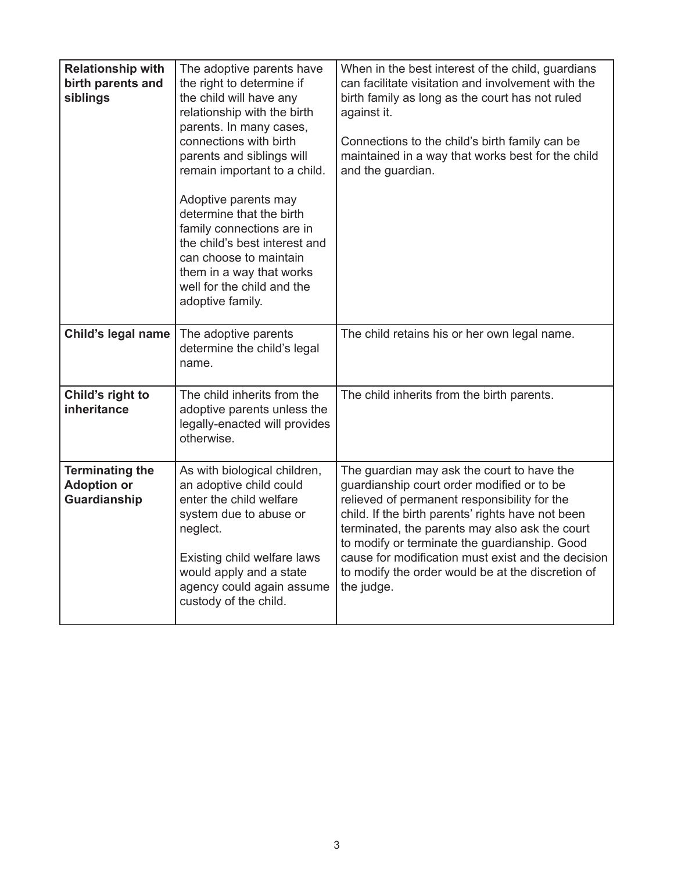| <b>Relationship with</b><br>birth parents and<br>siblings           | The adoptive parents have<br>the right to determine if<br>the child will have any<br>relationship with the birth<br>parents. In many cases,<br>connections with birth<br>parents and siblings will<br>remain important to a child.<br>Adoptive parents may<br>determine that the birth<br>family connections are in<br>the child's best interest and<br>can choose to maintain<br>them in a way that works<br>well for the child and the<br>adoptive family. | When in the best interest of the child, guardians<br>can facilitate visitation and involvement with the<br>birth family as long as the court has not ruled<br>against it.<br>Connections to the child's birth family can be<br>maintained in a way that works best for the child<br>and the guardian.                                                                                                                     |
|---------------------------------------------------------------------|--------------------------------------------------------------------------------------------------------------------------------------------------------------------------------------------------------------------------------------------------------------------------------------------------------------------------------------------------------------------------------------------------------------------------------------------------------------|---------------------------------------------------------------------------------------------------------------------------------------------------------------------------------------------------------------------------------------------------------------------------------------------------------------------------------------------------------------------------------------------------------------------------|
| Child's legal name                                                  | The adoptive parents<br>determine the child's legal<br>name.                                                                                                                                                                                                                                                                                                                                                                                                 | The child retains his or her own legal name.                                                                                                                                                                                                                                                                                                                                                                              |
| Child's right to<br>inheritance                                     | The child inherits from the<br>adoptive parents unless the<br>legally-enacted will provides<br>otherwise.                                                                                                                                                                                                                                                                                                                                                    | The child inherits from the birth parents.                                                                                                                                                                                                                                                                                                                                                                                |
| <b>Terminating the</b><br><b>Adoption or</b><br><b>Guardianship</b> | As with biological children,<br>an adoptive child could<br>enter the child welfare<br>system due to abuse or<br>neglect.<br>Existing child welfare laws<br>would apply and a state<br>agency could again assume<br>custody of the child.                                                                                                                                                                                                                     | The guardian may ask the court to have the<br>guardianship court order modified or to be<br>relieved of permanent responsibility for the<br>child. If the birth parents' rights have not been<br>terminated, the parents may also ask the court<br>to modify or terminate the guardianship. Good<br>cause for modification must exist and the decision<br>to modify the order would be at the discretion of<br>the judge. |